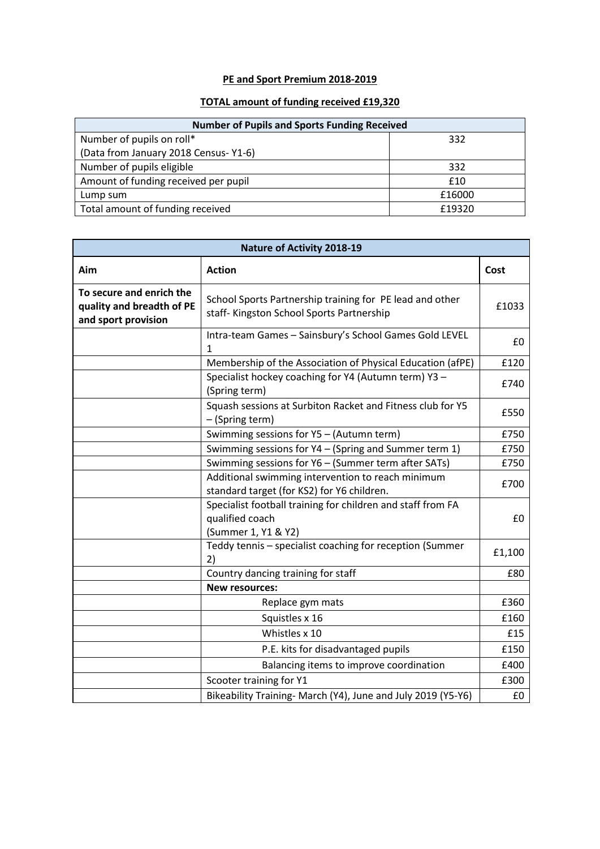## **PE and Sport Premium 2018-2019**

## **TOTAL amount of funding received £19,320**

| <b>Number of Pupils and Sports Funding Received</b> |        |  |  |
|-----------------------------------------------------|--------|--|--|
| Number of pupils on roll*                           | 332    |  |  |
| (Data from January 2018 Census-Y1-6)                |        |  |  |
| Number of pupils eligible                           | 332    |  |  |
| Amount of funding received per pupil                | £10    |  |  |
| Lump sum                                            | £16000 |  |  |
| Total amount of funding received                    | £19320 |  |  |

| <b>Nature of Activity 2018-19</b>                                            |                                                                                                                                                     |        |  |
|------------------------------------------------------------------------------|-----------------------------------------------------------------------------------------------------------------------------------------------------|--------|--|
| Aim                                                                          | <b>Action</b>                                                                                                                                       | Cost   |  |
| To secure and enrich the<br>quality and breadth of PE<br>and sport provision | School Sports Partnership training for PE lead and other<br>staff- Kingston School Sports Partnership                                               | £1033  |  |
|                                                                              | Intra-team Games - Sainsbury's School Games Gold LEVEL<br>1                                                                                         | £0     |  |
|                                                                              | Membership of the Association of Physical Education (afPE)                                                                                          | £120   |  |
|                                                                              | Specialist hockey coaching for Y4 (Autumn term) Y3 -<br>(Spring term)                                                                               | £740   |  |
|                                                                              | Squash sessions at Surbiton Racket and Fitness club for Y5<br>- (Spring term)                                                                       | £550   |  |
|                                                                              | Swimming sessions for Y5 - (Autumn term)                                                                                                            | £750   |  |
|                                                                              | Swimming sessions for Y4 - (Spring and Summer term 1)                                                                                               | £750   |  |
|                                                                              | Swimming sessions for Y6 - (Summer term after SATs)                                                                                                 | £750   |  |
|                                                                              | Additional swimming intervention to reach minimum                                                                                                   | £700   |  |
|                                                                              | standard target (for KS2) for Y6 children.<br>Specialist football training for children and staff from FA<br>qualified coach<br>(Summer 1, Y1 & Y2) | £0     |  |
|                                                                              | Teddy tennis - specialist coaching for reception (Summer<br>2)                                                                                      | £1,100 |  |
|                                                                              | Country dancing training for staff                                                                                                                  | £80    |  |
|                                                                              | <b>New resources:</b>                                                                                                                               |        |  |
|                                                                              | Replace gym mats                                                                                                                                    | £360   |  |
|                                                                              | Squistles x 16                                                                                                                                      | £160   |  |
|                                                                              | Whistles x 10                                                                                                                                       | £15    |  |
|                                                                              | P.E. kits for disadvantaged pupils                                                                                                                  | £150   |  |
|                                                                              | Balancing items to improve coordination                                                                                                             | £400   |  |
|                                                                              | Scooter training for Y1                                                                                                                             | £300   |  |
|                                                                              | Bikeability Training- March (Y4), June and July 2019 (Y5-Y6)                                                                                        | £0     |  |